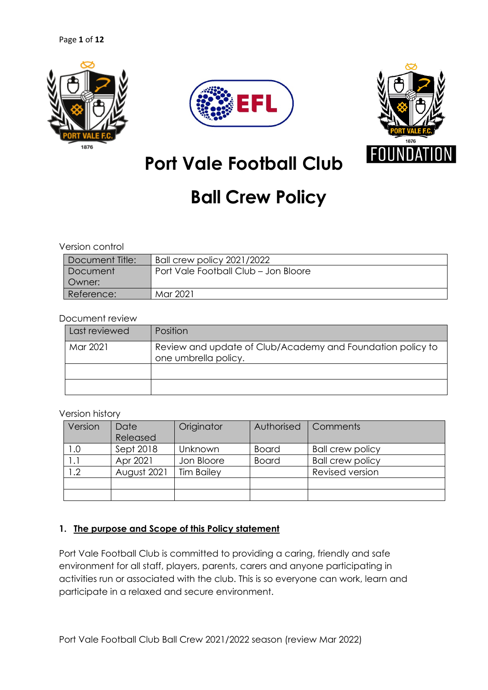





**Port Vale Football Club**

# **Ball Crew Policy**

#### Version control

| Document Title: | Ball crew policy 2021/2022           |
|-----------------|--------------------------------------|
|                 |                                      |
| Document        | Port Vale Football Club - Jon Bloore |
| Owner:          |                                      |
| Reference:      | Mar 2021                             |

#### Document review

| Last reviewed | Position                                                                           |  |  |  |
|---------------|------------------------------------------------------------------------------------|--|--|--|
| Mar 2021      | Review and update of Club/Academy and Foundation policy to<br>one umbrella policy. |  |  |  |
|               |                                                                                    |  |  |  |
|               |                                                                                    |  |  |  |

#### Version history

| Version | Date        | Originator        | Authorised   | Comments                |
|---------|-------------|-------------------|--------------|-------------------------|
|         | Released    |                   |              |                         |
| 1.0     | Sept 2018   | Unknown           | <b>Board</b> | <b>Ball crew policy</b> |
|         | Apr 2021    | Jon Bloore        | <b>Board</b> | <b>Ball crew policy</b> |
| 1.2     | August 2021 | <b>Tim Bailey</b> |              | Revised version         |
|         |             |                   |              |                         |
|         |             |                   |              |                         |

#### **1. The purpose and Scope of this Policy statement**

Port Vale Football Club is committed to providing a caring, friendly and safe environment for all staff, players, parents, carers and anyone participating in activities run or associated with the club. This is so everyone can work, learn and participate in a relaxed and secure environment.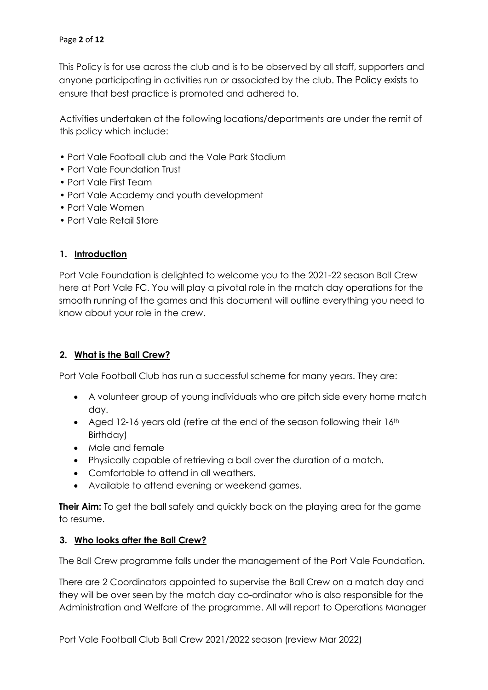This Policy is for use across the club and is to be observed by all staff, supporters and anyone participating in activities run or associated by the club. The Policy exists to ensure that best practice is promoted and adhered to.

Activities undertaken at the following locations/departments are under the remit of this policy which include:

- Port Vale Football club and the Vale Park Stadium
- Port Vale Foundation Trust
- Port Vale First Team
- Port Vale Academy and youth development
- Port Vale Women
- Port Vale Retail Store

#### **1. Introduction**

Port Vale Foundation is delighted to welcome you to the 2021-22 season Ball Crew here at Port Vale FC. You will play a pivotal role in the match day operations for the smooth running of the games and this document will outline everything you need to know about your role in the crew.

#### **2. What is the Ball Crew?**

Port Vale Football Club has run a successful scheme for many years. They are:

- A volunteer group of young individuals who are pitch side every home match day.
- Aged 12-16 years old (retire at the end of the season following their  $16<sup>th</sup>$ Birthday)
- Male and female
- Physically capable of retrieving a ball over the duration of a match.
- Comfortable to attend in all weathers.
- Available to attend evening or weekend games.

**Their Aim:** To get the ball safely and quickly back on the playing area for the game to resume.

#### **3. Who looks after the Ball Crew?**

The Ball Crew programme falls under the management of the Port Vale Foundation.

There are 2 Coordinators appointed to supervise the Ball Crew on a match day and they will be over seen by the match day co-ordinator who is also responsible for the Administration and Welfare of the programme. All will report to Operations Manager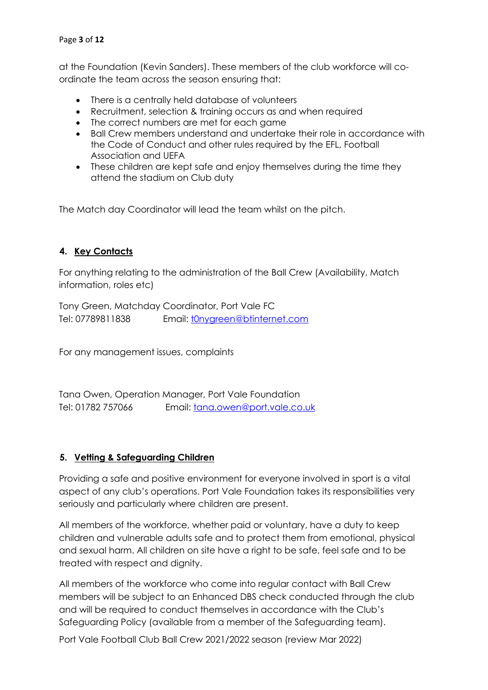#### Page **3** of **12**

at the Foundation (Kevin Sanders). These members of the club workforce will coordinate the team across the season ensuring that:

- There is a centrally held database of volunteers
- Recruitment, selection & training occurs as and when required
- The correct numbers are met for each game
- Ball Crew members understand and undertake their role in accordance with the Code of Conduct and other rules required by the EFL, Football Association and UEFA
- These children are kept safe and enjoy themselves during the time they attend the stadium on Club duty

The Match day Coordinator will lead the team whilst on the pitch.

# **4. Key Contacts**

For anything relating to the administration of the Ball Crew (Availability, Match information, roles etc)

Tony Green, Matchday Coordinator, Port Vale FC Tel: 07789811838 Email: tonygreen@btinternet.com

For any management issues, complaints

Tana Owen, Operation Manager, Port Vale Foundation Tel: 01782 757066 Email: tana.owen@port.vale.co.uk

#### **5. Vetting & Safeguarding Children**

Providing a safe and positive environment for everyone involved in sport is a vital aspect of any club's operations. Port Vale Foundation takes its responsibilities very seriously and particularly where children are present.

All members of the workforce, whether paid or voluntary, have a duty to keep children and vulnerable adults safe and to protect them from emotional, physical and sexual harm. All children on site have a right to be safe, feel safe and to be treated with respect and dignity.

All members of the workforce who come into regular contact with Ball Crew members will be subject to an Enhanced DBS check conducted through the club and will be required to conduct themselves in accordance with the Club's Safeguarding Policy (available from a member of the Safeguarding team).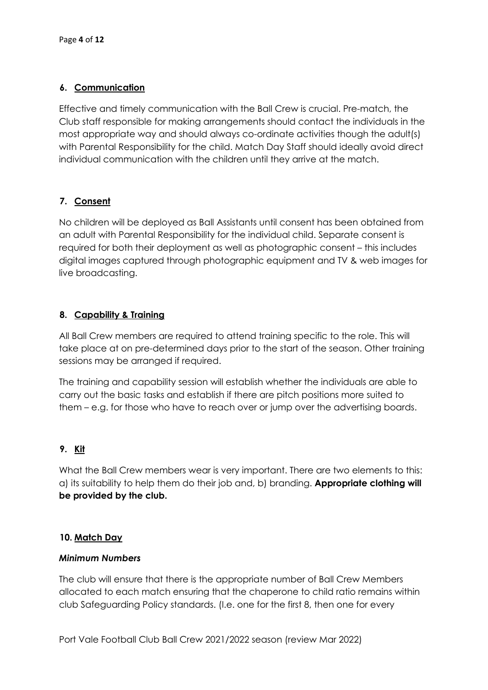# **6. Communication**

Effective and timely communication with the Ball Crew is crucial. Pre-match, the Club staff responsible for making arrangements should contact the individuals in the most appropriate way and should always co-ordinate activities though the adult(s) with Parental Responsibility for the child. Match Day Staff should ideally avoid direct individual communication with the children until they arrive at the match.

# **7. Consent**

No children will be deployed as Ball Assistants until consent has been obtained from an adult with Parental Responsibility for the individual child. Separate consent is required for both their deployment as well as photographic consent – this includes digital images captured through photographic equipment and TV & web images for live broadcasting.

# **8. Capability & Training**

All Ball Crew members are required to attend training specific to the role. This will take place at on pre-determined days prior to the start of the season. Other training sessions may be arranged if required.

The training and capability session will establish whether the individuals are able to carry out the basic tasks and establish if there are pitch positions more suited to them – e.g. for those who have to reach over or jump over the advertising boards.

# **9. Kit**

What the Ball Crew members wear is very important. There are two elements to this: a) its suitability to help them do their job and, b) branding. **Appropriate clothing will be provided by the club.**

# **10. Match Day**

#### *Minimum Numbers*

The club will ensure that there is the appropriate number of Ball Crew Members allocated to each match ensuring that the chaperone to child ratio remains within club Safeguarding Policy standards. (I.e. one for the first 8, then one for every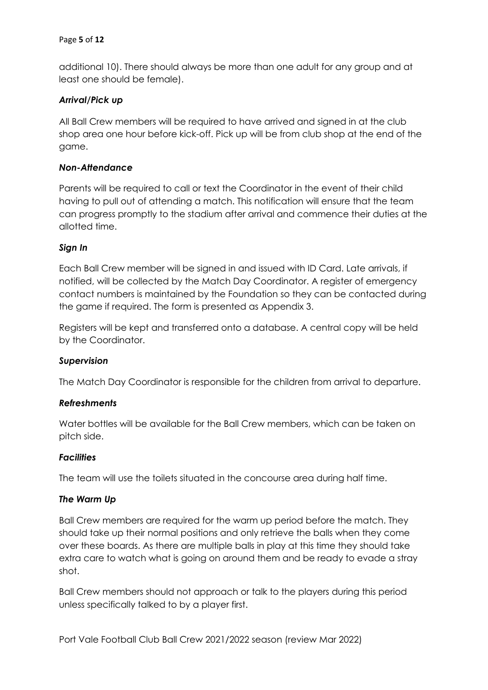#### Page **5** of **12**

additional 10). There should always be more than one adult for any group and at least one should be female).

#### *Arrival/Pick up*

All Ball Crew members will be required to have arrived and signed in at the club shop area one hour before kick-off. Pick up will be from club shop at the end of the game.

#### *Non-Attendance*

Parents will be required to call or text the Coordinator in the event of their child having to pull out of attending a match. This notification will ensure that the team can progress promptly to the stadium after arrival and commence their duties at the allotted time.

#### *Sign In*

Each Ball Crew member will be signed in and issued with ID Card. Late arrivals, if notified, will be collected by the Match Day Coordinator. A register of emergency contact numbers is maintained by the Foundation so they can be contacted during the game if required. The form is presented as Appendix 3.

Registers will be kept and transferred onto a database. A central copy will be held by the Coordinator.

#### *Supervision*

The Match Day Coordinator is responsible for the children from arrival to departure.

#### *Refreshments*

Water bottles will be available for the Ball Crew members, which can be taken on pitch side.

#### *Facilities*

The team will use the toilets situated in the concourse area during half time.

#### *The Warm Up*

Ball Crew members are required for the warm up period before the match. They should take up their normal positions and only retrieve the balls when they come over these boards. As there are multiple balls in play at this time they should take extra care to watch what is going on around them and be ready to evade a stray shot.

Ball Crew members should not approach or talk to the players during this period unless specifically talked to by a player first.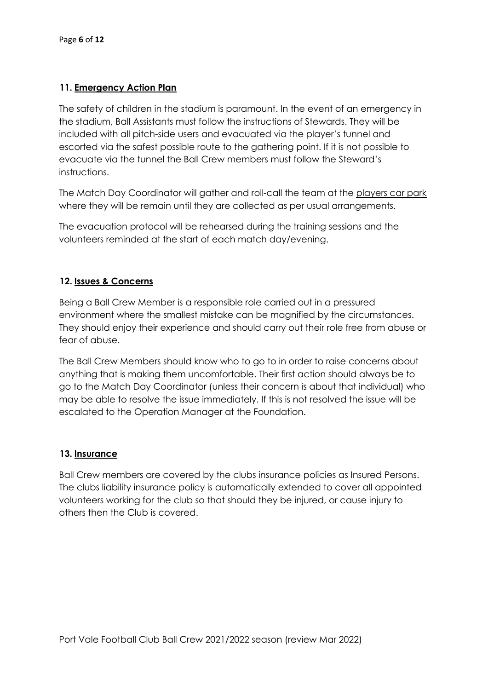# **11. Emergency Action Plan**

The safety of children in the stadium is paramount. In the event of an emergency in the stadium, Ball Assistants must follow the instructions of Stewards. They will be included with all pitch-side users and evacuated via the player's tunnel and escorted via the safest possible route to the gathering point. If it is not possible to evacuate via the tunnel the Ball Crew members must follow the Steward's instructions.

The Match Day Coordinator will gather and roll-call the team at the players car park where they will be remain until they are collected as per usual arrangements.

The evacuation protocol will be rehearsed during the training sessions and the volunteers reminded at the start of each match day/evening.

# **12. Issues & Concerns**

Being a Ball Crew Member is a responsible role carried out in a pressured environment where the smallest mistake can be magnified by the circumstances. They should enjoy their experience and should carry out their role free from abuse or fear of abuse.

The Ball Crew Members should know who to go to in order to raise concerns about anything that is making them uncomfortable. Their first action should always be to go to the Match Day Coordinator (unless their concern is about that individual) who may be able to resolve the issue immediately. If this is not resolved the issue will be escalated to the Operation Manager at the Foundation.

#### **13. Insurance**

Ball Crew members are covered by the clubs insurance policies as Insured Persons. The clubs liability insurance policy is automatically extended to cover all appointed volunteers working for the club so that should they be injured, or cause injury to others then the Club is covered.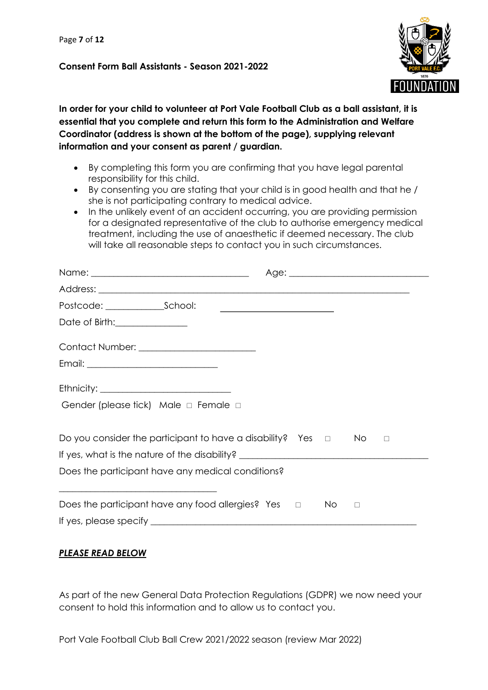#### **Consent Form Ball Assistants - Season 2021-2022**



**In order for your child to volunteer at Port Vale Football Club as a ball assistant, it is essential that you complete and return this form to the Administration and Welfare Coordinator (address is shown at the bottom of the page), supplying relevant information and your consent as parent / guardian.**

- By completing this form you are confirming that you have legal parental responsibility for this child.
- By consenting you are stating that your child is in good health and that he / she is not participating contrary to medical advice.
- In the unlikely event of an accident occurring, you are providing permission for a designated representative of the club to authorise emergency medical treatment, including the use of anaesthetic if deemed necessary. The club will take all reasonable steps to contact you in such circumstances.

|                                                                                  | <u> Alexandria de la contrada de la contrada de la contrada de la contrada de la contrada de la contrada de la c</u> |        |        |
|----------------------------------------------------------------------------------|----------------------------------------------------------------------------------------------------------------------|--------|--------|
| Date of Birth: <u>______________________</u>                                     |                                                                                                                      |        |        |
|                                                                                  |                                                                                                                      |        |        |
|                                                                                  |                                                                                                                      |        |        |
|                                                                                  |                                                                                                                      |        |        |
| Gender (please tick) Male $\Box$ Female $\Box$                                   |                                                                                                                      |        |        |
| Do you consider the participant to have a disability? Yes $\Box$                 |                                                                                                                      | No.    | $\Box$ |
| If yes, what is the nature of the disability? __________________________________ |                                                                                                                      |        |        |
| Does the participant have any medical conditions?                                |                                                                                                                      |        |        |
| Does the participant have any food allergies? Yes $\Box$ No                      |                                                                                                                      | $\Box$ |        |
|                                                                                  |                                                                                                                      |        |        |
|                                                                                  |                                                                                                                      |        |        |

# *PLEASE READ BELOW*

As part of the new General Data Protection Regulations (GDPR) we now need your consent to hold this information and to allow us to contact you.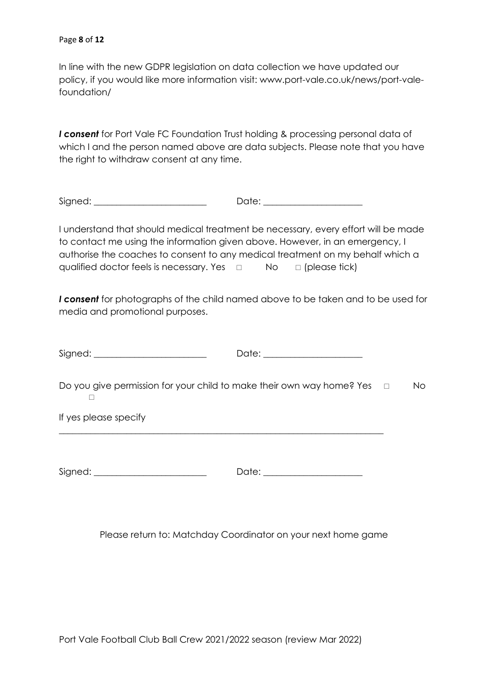In line with the new GDPR legislation on data collection we have updated our policy, if you would like more information visit: www.port-vale.co.uk/news/port-valefoundation/

*I consent* for Port Vale FC Foundation Trust holding & processing personal data of which I and the person named above are data subjects. Please note that you have the right to withdraw consent at any time.

Signed: \_\_\_\_\_\_\_\_\_\_\_\_\_\_\_\_\_\_\_\_\_\_\_\_\_ Date: \_\_\_\_\_\_\_\_\_\_\_\_\_\_\_\_\_\_\_\_\_\_

I understand that should medical treatment be necessary, every effort will be made to contact me using the information given above. However, in an emergency, I authorise the coaches to consent to any medical treatment on my behalf which a qualified doctor feels is necessary. Yes  $\Box$  No  $\Box$  (please tick)

*I consent* for photographs of the child named above to be taken and to be used for media and promotional purposes.

| Signed: _________________________                                                   | Date: _______________________ |           |
|-------------------------------------------------------------------------------------|-------------------------------|-----------|
| Do you give permission for your child to make their own way home? Yes $\hfill \Box$ |                               | <b>No</b> |
| If yes please specify                                                               |                               |           |
| Signed: ________________________                                                    | Date: _______________________ |           |

Please return to: Matchday Coordinator on your next home game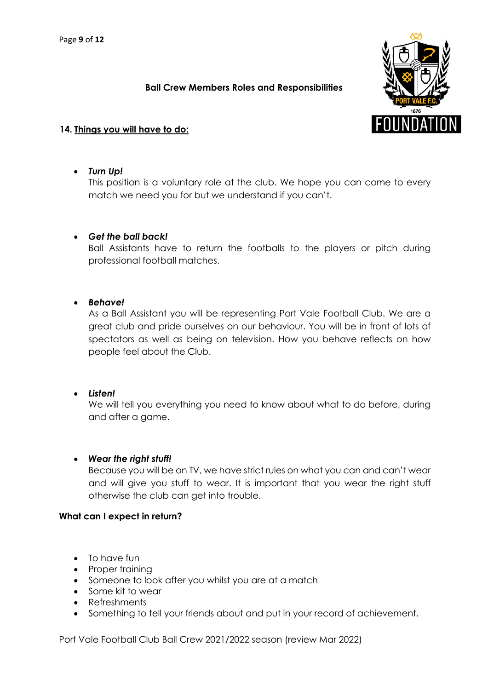#### **Ball Crew Members Roles and Responsibilities**



# **14. Things you will have to do:**

#### • *Turn Up!*

This position is a voluntary role at the club. We hope you can come to every match we need you for but we understand if you can't.

#### • *Get the ball back!*

Ball Assistants have to return the footballs to the players or pitch during professional football matches.

# • *Behave!*

As a Ball Assistant you will be representing Port Vale Football Club. We are a great club and pride ourselves on our behaviour. You will be in front of lots of spectators as well as being on television. How you behave reflects on how people feel about the Club.

#### • *Listen!*

We will tell you everything you need to know about what to do before, during and after a game.

#### • *Wear the right stuff!*

Because you will be on TV, we have strict rules on what you can and can't wear and will give you stuff to wear. It is important that you wear the right stuff otherwise the club can get into trouble.

#### **What can I expect in return?**

- To have fun
- Proper training
- Someone to look after you whilst you are at a match
- Some kit to wear
- Refreshments
- Something to tell your friends about and put in your record of achievement.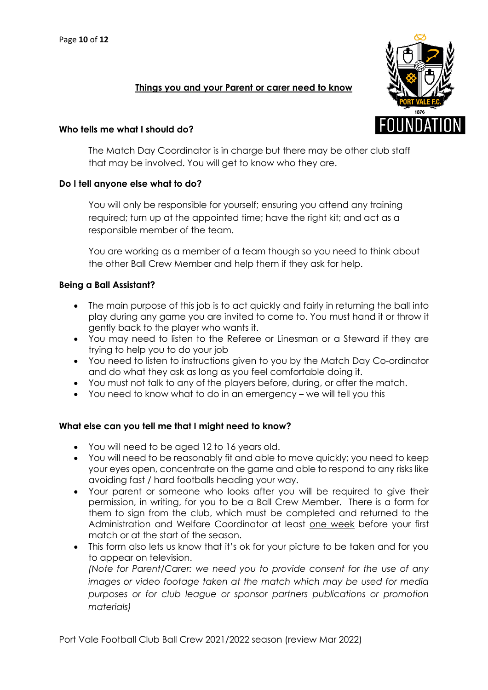#### **Things you and your Parent or carer need to know**

#### **Who tells me what I should do?**

The Match Day Coordinator is in charge but there may be other club staff that may be involved. You will get to know who they are.

#### **Do I tell anyone else what to do?**

You will only be responsible for yourself; ensuring you attend any training required; turn up at the appointed time; have the right kit; and act as a responsible member of the team.

You are working as a member of a team though so you need to think about the other Ball Crew Member and help them if they ask for help.

# **Being a Ball Assistant?**

- The main purpose of this job is to act quickly and fairly in returning the ball into play during any game you are invited to come to. You must hand it or throw it gently back to the player who wants it.
- You may need to listen to the Referee or Linesman or a Steward if they are trying to help you to do your job
- You need to listen to instructions given to you by the Match Day Co-ordinator and do what they ask as long as you feel comfortable doing it.
- You must not talk to any of the players before, during, or after the match.
- You need to know what to do in an emergency we will tell you this

#### **What else can you tell me that I might need to know?**

- You will need to be aged 12 to 16 years old.
- You will need to be reasonably fit and able to move quickly; you need to keep your eyes open, concentrate on the game and able to respond to any risks like avoiding fast / hard footballs heading your way.
- Your parent or someone who looks after you will be required to give their permission, in writing, for you to be a Ball Crew Member. There is a form for them to sign from the club, which must be completed and returned to the Administration and Welfare Coordinator at least one week before your first match or at the start of the season.
- This form also lets us know that it's ok for your picture to be taken and for you to appear on television. *(Note for Parent/Carer: we need you to provide consent for the use of any images or video footage taken at the match which may be used for media purposes or for club league or sponsor partners publications or promotion materials)*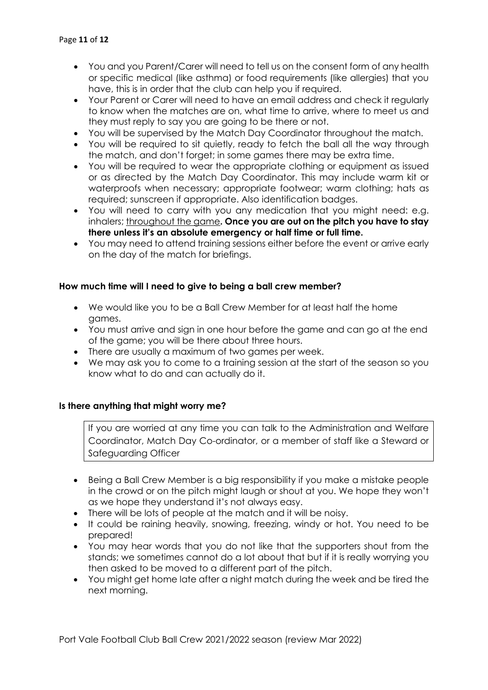- You and you Parent/Carer will need to tell us on the consent form of any health or specific medical (like asthma) or food requirements (like allergies) that you have, this is in order that the club can help you if required.
- Your Parent or Carer will need to have an email address and check it regularly to know when the matches are on, what time to arrive, where to meet us and they must reply to say you are going to be there or not.
- You will be supervised by the Match Day Coordinator throughout the match.
- You will be required to sit quietly, ready to fetch the ball all the way through the match, and don't forget; in some games there may be extra time.
- You will be required to wear the appropriate clothing or equipment as issued or as directed by the Match Day Coordinator. This may include warm kit or waterproofs when necessary; appropriate footwear; warm clothing; hats as required; sunscreen if appropriate. Also identification badges.
- You will need to carry with you any medication that you might need: e.g. inhalers; throughout the game**. Once you are out on the pitch you have to stay there unless it's an absolute emergency or half time or full time.**
- You may need to attend training sessions either before the event or arrive early on the day of the match for briefings.

#### **How much time will I need to give to being a ball crew member?**

- We would like you to be a Ball Crew Member for at least half the home games.
- You must arrive and sign in one hour before the game and can go at the end of the game; you will be there about three hours.
- There are usually a maximum of two games per week.
- We may ask you to come to a training session at the start of the season so you know what to do and can actually do it.

#### **Is there anything that might worry me?**

If you are worried at any time you can talk to the Administration and Welfare Coordinator, Match Day Co-ordinator, or a member of staff like a Steward or Safeguarding Officer

- Being a Ball Crew Member is a big responsibility if you make a mistake people in the crowd or on the pitch might laugh or shout at you. We hope they won't as we hope they understand it's not always easy.
- There will be lots of people at the match and it will be noisy.
- It could be raining heavily, snowing, freezing, windy or hot. You need to be prepared!
- You may hear words that you do not like that the supporters shout from the stands; we sometimes cannot do a lot about that but if it is really worrying you then asked to be moved to a different part of the pitch.
- You might get home late after a night match during the week and be tired the next morning.